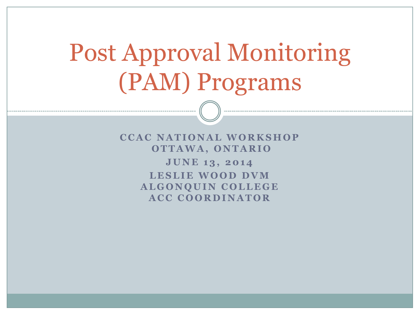# Post Approval Monitoring (PAM) Programs

**CCAC NATIONAL WORKSHOP O T T A W A , O N T A R I O JUNE 13, 2014** 

> LESLIE WOOD DVM **ALGONQUIN COLLEGE ACC COORDINATOR**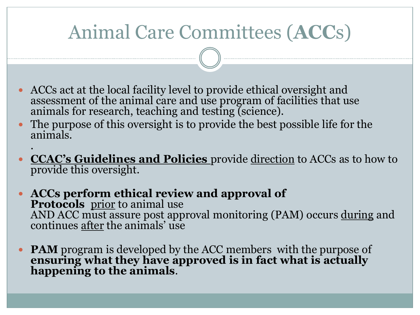## Animal Care Committees (**ACC**s)

- ACCs act at the local facility level to provide ethical oversight and assessment of the animal care and use program of facilities that use animals for research, teaching and testing (science).
- The purpose of this oversight is to provide the best possible life for the animals. .
- **CCAC's Guidelines and Policies** provide direction to ACCs as to how to provide this oversight.
- **ACCs perform ethical review and approval of** Protocols prior to animal use AND ACC must assure post approval monitoring (PAM) occurs during and continues after the animals' use
- **PAM** program is developed by the ACC members with the purpose of **ensuring what they have approved is in fact what is actually happening to the animals**.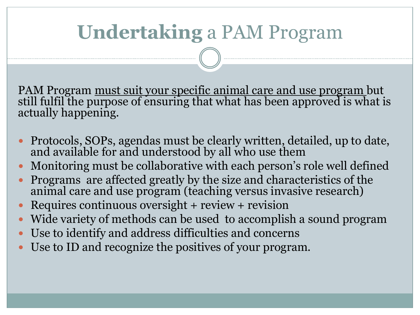## **Undertaking** a PAM Program

PAM Program must suit your specific animal care and use program but still fulfil the purpose of ensuring that what has been approved is what is actually happening.

- Protocols, SOPs, agendas must be clearly written, detailed, up to date, and available for and understood by all who use them
- Monitoring must be collaborative with each person's role well defined
- Programs are affected greatly by the size and characteristics of the animal care and use program (teaching versus invasive research)
- Requires continuous oversight + review + revision
- Wide variety of methods can be used to accomplish a sound program
- Use to identify and address difficulties and concerns
- Use to ID and recognize the positives of your program.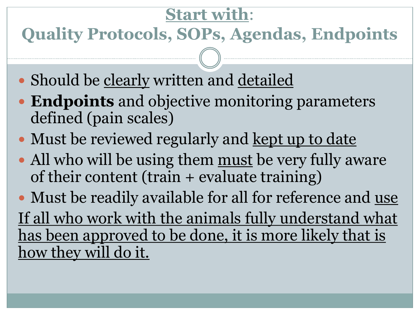### **Start with**:

**Quality Protocols, SOPs, Agendas, Endpoints**

- Should be clearly written and detailed
- **Endpoints** and objective monitoring parameters defined (pain scales)
- Must be reviewed regularly and kept up to date
- All who will be using them must be very fully aware of their content (train + evaluate training)

• Must be readily available for all for reference and use If all who work with the animals fully understand what has been approved to be done, it is more likely that is how they will do it.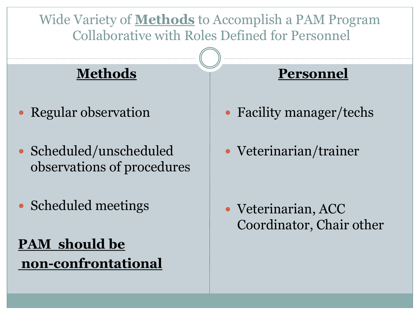Wide Variety of **Methods** to Accomplish a PAM Program Collaborative with Roles Defined for Personnel

### **Methods**

- Regular observation
- Scheduled/unscheduled observations of procedures
- Scheduled meetings

**PAM should be non-confrontational**

#### **Personnel**

- Facility manager/techs
- Veterinarian/trainer

 Veterinarian, ACC Coordinator, Chair other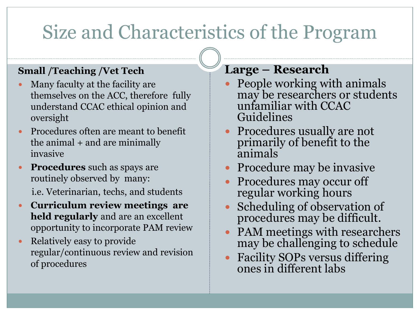## Size and Characteristics of the Program

#### **Small /Teaching /Vet Tech**

- Many faculty at the facility are themselves on the ACC, therefore fully understand CCAC ethical opinion and oversight
- Procedures often are meant to benefit the animal + and are minimally invasive
- **Procedures** such as spays are routinely observed by many: i.e. Veterinarian, techs, and students
- **Curriculum review meetings are held regularly** and are an excellent opportunity to incorporate PAM review
- Relatively easy to provide regular/continuous review and revision of procedures

#### **Large – Research**

- People working with animals may be researchers or students unfamiliar with CCAC Guidelines
- Procedures usually are not primarily of benefit to the animals
- Procedure may be invasive
- Procedures may occur off regular working hours
- Scheduling of observation of procedures may be difficult.
- PAM meetings with researchers may be challenging to schedule
- Facility SOPs versus differing ones in different labs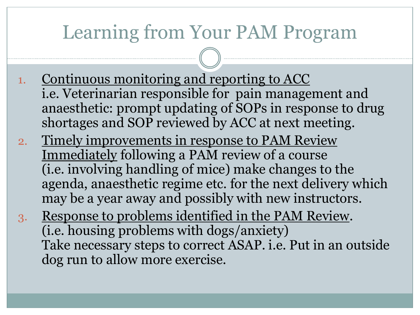### Learning from Your PAM Program

- 1. Continuous monitoring and reporting to ACC i.e. Veterinarian responsible for pain management and anaesthetic: prompt updating of SOPs in response to drug shortages and SOP reviewed by ACC at next meeting.
- 2. Timely improvements in response to PAM Review Immediately following a PAM review of a course (i.e. involving handling of mice) make changes to the agenda, anaesthetic regime etc. for the next delivery which may be a year away and possibly with new instructors.
- 3. Response to problems identified in the PAM Review. (i.e. housing problems with dogs/anxiety) Take necessary steps to correct ASAP. i.e. Put in an outside dog run to allow more exercise.